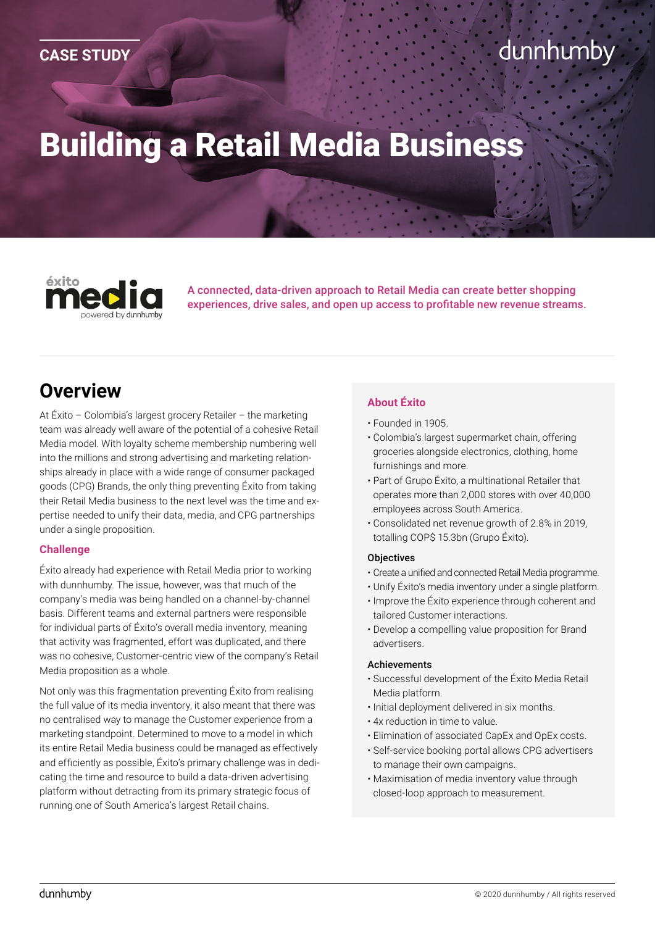# Building a Retail Media Business

éxito owered by dunnhumby

A connected, data-driven approach to Retail Media can create better shopping experiences, drive sales, and open up access to profitable new revenue streams.

## **Overview**

At Éxito – Colombia's largest grocery Retailer – the marketing team was already well aware of the potential of a cohesive Retail Media model. With loyalty scheme membership numbering well into the millions and strong advertising and marketing relationships already in place with a wide range of consumer packaged goods (CPG) Brands, the only thing preventing Éxito from taking their Retail Media business to the next level was the time and expertise needed to unify their data, media, and CPG partnerships under a single proposition.

#### **Challenge**

Éxito already had experience with Retail Media prior to working with dunnhumby. The issue, however, was that much of the company's media was being handled on a channel-by-channel basis. Different teams and external partners were responsible for individual parts of Éxito's overall media inventory, meaning that activity was fragmented, effort was duplicated, and there was no cohesive, Customer-centric view of the company's Retail Media proposition as a whole.

Not only was this fragmentation preventing Éxito from realising the full value of its media inventory, it also meant that there was no centralised way to manage the Customer experience from a marketing standpoint. Determined to move to a model in which its entire Retail Media business could be managed as effectively and efficiently as possible, Éxito's primary challenge was in dedicating the time and resource to build a data-driven advertising platform without detracting from its primary strategic focus of running one of South America's largest Retail chains.

#### **About Éxito**

- Founded in 1905.
- Colombia's largest supermarket chain, offering groceries alongside electronics, clothing, home furnishings and more.
- Part of Grupo Éxito, a multinational Retailer that operates more than 2,000 stores with over 40,000 employees across South America.
- Consolidated net revenue growth of 2.8% in 2019, totalling COP\$ 15.3bn (Grupo Éxito).

#### **Objectives**

- Create a unified and connected Retail Media programme.
- Unify Éxito's media inventory under a single platform.
- Improve the Éxito experience through coherent and tailored Customer interactions.
- Develop a compelling value proposition for Brand advertisers.

#### Achievements

- Successful development of the Éxito Media Retail Media platform.
- Initial deployment delivered in six months.
- 4x reduction in time to value.
- Elimination of associated CapEx and OpEx costs.
- Self-service booking portal allows CPG advertisers to manage their own campaigns.
- Maximisation of media inventory value through closed-loop approach to measurement.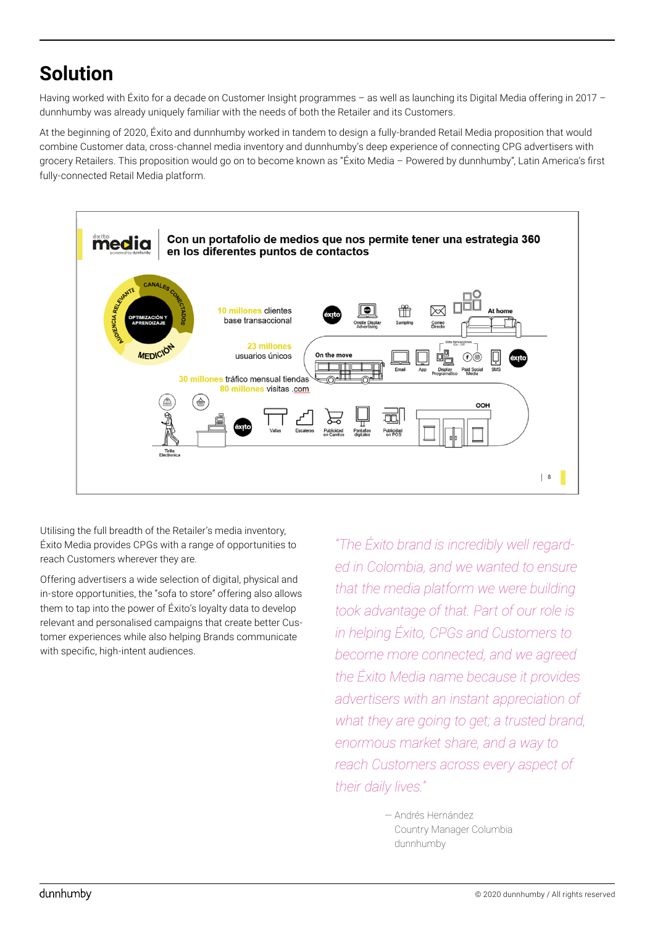## **Solution**

Having worked with Éxito for a decade on Customer Insight programmes – as well as launching its Digital Media offering in 2017 – dunnhumby was already uniquely familiar with the needs of both the Retailer and its Customers.

At the beginning of 2020, Éxito and dunnhumby worked in tandem to design a fully-branded Retail Media proposition that would combine Customer data, cross-channel media inventory and dunnhumby's deep experience of connecting CPG advertisers with grocery Retailers. This proposition would go on to become known as "Éxito Media – Powered by dunnhumby", Latin America's first fully-connected Retail Media platform.



Utilising the full breadth of the Retailer's media inventory, Éxito Media provides CPGs with a range of opportunities to reach Customers wherever they are.

Offering advertisers a wide selection of digital, physical and in-store opportunities, the "sofa to store" offering also allows them to tap into the power of Éxito's loyalty data to develop relevant and personalised campaigns that create better Customer experiences while also helping Brands communicate with specific, high-intent audiences.

*"The Éxito brand is incredibly well regarded in Colombia, and we wanted to ensure that the media platform we were building took advantage of that. Part of our role is in helping Éxito, CPGs and Customers to become more connected, and we agreed the Éxito Media name because it provides advertisers with an instant appreciation of what they are going to get; a trusted brand, enormous market share, and a way to reach Customers across every aspect of their daily lives."*

> — Andrés Hernández Country Manager Columbia dunnhumby